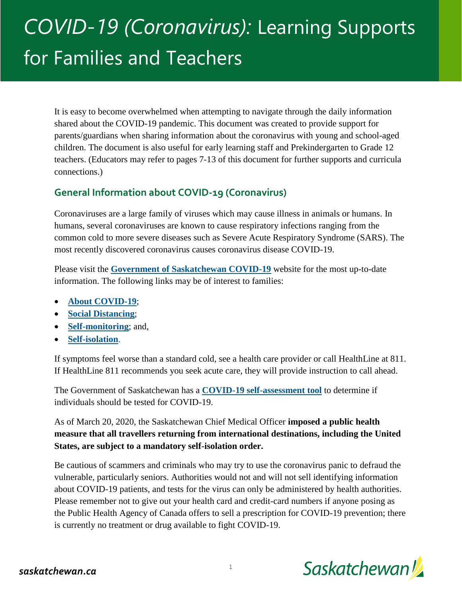# *COVID-19 (Coronavirus):* Learning Supports for Families and Teachers

It is easy to become overwhelmed when attempting to navigate through the daily information shared about the COVID-19 pandemic. This document was created to provide support for parents/guardians when sharing information about the coronavirus with young and school-aged children. The document is also useful for early learning staff and Prekindergarten to Grade 12 teachers. (Educators may refer to pages 7-13 of this document for further supports and curricula connections.)

## **General Information about COVID-19 (Coronavirus)**

Coronaviruses are a large family of viruses which may cause illness in animals or humans. In humans, several coronaviruses are known to cause respiratory infections ranging from the common cold to more severe diseases such as Severe Acute Respiratory Syndrome (SARS). The most recently discovered coronavirus causes coronavirus disease COVID-19.

Please visit the **[Government of Saskatchewan COVID-19](https://www.saskatchewan.ca/government/health-care-administration-and-provider-resources/treatment-procedures-and-guidelines/emerging-public-health-issues/2019-novel-coronavirus/about-covid-19)** website for the most up-to-date information. The following links may be of interest to families:

- **[About COVID-19](https://www.saskatchewan.ca/government/health-care-administration-and-provider-resources/treatment-procedures-and-guidelines/emerging-public-health-issues/2019-novel-coronavirus/about-covid-19#how-covid-19-spreads)**;
- **[Social Distancing](https://www.saskatchewan.ca/government/health-care-administration-and-provider-resources/treatment-procedures-and-guidelines/emerging-public-health-issues/2019-novel-coronavirus/social-distancing)**;
- **[Self-monitoring](https://www.saskatchewan.ca/government/health-care-administration-and-provider-resources/treatment-procedures-and-guidelines/emerging-public-health-issues/2019-novel-coronavirus/self-monitoring)**; and,
- **[Self-isolation](https://www.saskatchewan.ca/government/health-care-administration-and-provider-resources/treatment-procedures-and-guidelines/emerging-public-health-issues/2019-novel-coronavirus/self-isolation)**.

If symptoms feel worse than a standard cold, see a health care provider or call HealthLine at 811. If HealthLine 811 recommends you seek acute care, they will provide instruction to call ahead.

The Government of Saskatchewan has a **[COVID-19 self-assessment tool](https://www.saskatchewan.ca/government/health-care-administration-and-provider-resources/treatment-procedures-and-guidelines/emerging-public-health-issues/2019-novel-coronavirus/covid-19-self-assessment)** to determine if individuals should be tested for COVID-19.

As of March 20, 2020, the Saskatchewan Chief Medical Officer **imposed a public health measure that all travellers returning from international destinations, including the United States, are subject to a mandatory self-isolation order.** 

Be cautious of scammers and criminals who may try to use the coronavirus panic to defraud the vulnerable, particularly seniors. Authorities would not and will not sell identifying information about COVID-19 patients, and tests for the virus can only be administered by health authorities. Please remember not to give out your health card and credit-card numbers if anyone posing as the Public Health Agency of Canada offers to sell a prescription for COVID-19 prevention; there is currently no treatment or drug available to fight COVID-19.

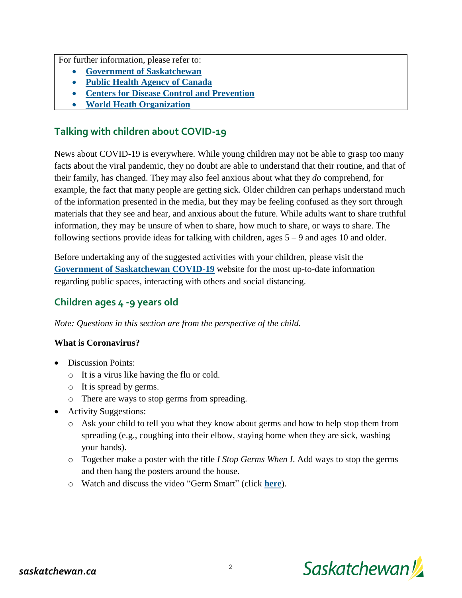For further information, please refer to:

- **[Government of Saskatchewan](https://www.saskatchewan.ca/government/health-care-administration-and-provider-resources/treatment-procedures-and-guidelines/emerging-public-health-issues/2019-novel-coronavirus)**
- **[Public Health Agency of Canada](https://www.canada.ca/en/public-health.html)**
- **[Centers for Disease Control and Prevention](https://www.cdc.gov/)**
- **[World Heath Organization](http://www.who.int/)**

# **Talking with children about COVID-19**

News about COVID-19 is everywhere. While young children may not be able to grasp too many facts about the viral pandemic, they no doubt are able to understand that their routine, and that of their family, has changed. They may also feel anxious about what they *do* comprehend, for example, the fact that many people are getting sick. Older children can perhaps understand much of the information presented in the media, but they may be feeling confused as they sort through materials that they see and hear, and anxious about the future. While adults want to share truthful information, they may be unsure of when to share, how much to share, or ways to share. The following sections provide ideas for talking with children, ages 5 – 9 and ages 10 and older.

Before undertaking any of the suggested activities with your children, please visit the **[Government of Saskatchewan COVID-19](https://www.saskatchewan.ca/government/health-care-administration-and-provider-resources/treatment-procedures-and-guidelines/emerging-public-health-issues/2019-novel-coronavirus/about-covid-19)** website for the most up-to-date information regarding public spaces, interacting with others and social distancing.

# **Children ages 4 -9 years old**

*Note: Questions in this section are from the perspective of the child.*

## **What is Coronavirus?**

- Discussion Points:
	- o It is a virus like having the flu or cold.
	- o It is spread by germs.
	- o There are ways to stop germs from spreading.
- Activity Suggestions:
	- o Ask your child to tell you what they know about germs and how to help stop them from spreading (e.g., coughing into their elbow, staying home when they are sick, washing your hands).
	- o Together make a poster with the title *I Stop Germs When I*. Add ways to stop the germs and then hang the posters around the house.
	- o Watch and discuss the video "Germ Smart" (click **[here](https://www.youtube.com/watch?v=NoxdS4eXy18)**).

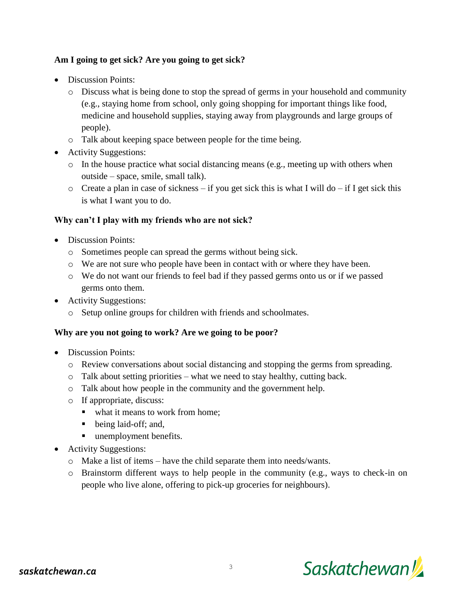## **Am I going to get sick? Are you going to get sick?**

- Discussion Points:
	- o Discuss what is being done to stop the spread of germs in your household and community (e.g., staying home from school, only going shopping for important things like food, medicine and household supplies, staying away from playgrounds and large groups of people).
	- o Talk about keeping space between people for the time being.
- Activity Suggestions:
	- o In the house practice what social distancing means (e.g., meeting up with others when outside – space, smile, small talk).
	- $\circ$  Create a plan in case of sickness if you get sick this is what I will do if I get sick this is what I want you to do.

## **Why can't I play with my friends who are not sick?**

- Discussion Points:
	- o Sometimes people can spread the germs without being sick.
	- o We are not sure who people have been in contact with or where they have been.
	- o We do not want our friends to feel bad if they passed germs onto us or if we passed germs onto them.
- Activity Suggestions:
	- o Setup online groups for children with friends and schoolmates.

#### **Why are you not going to work? Are we going to be poor?**

- Discussion Points:
	- o Review conversations about social distancing and stopping the germs from spreading.
	- o Talk about setting priorities what we need to stay healthy, cutting back.
	- o Talk about how people in the community and the government help.
	- o If appropriate, discuss:
		- what it means to work from home;
		- being laid-off; and,
		- **unemployment benefits.**
- Activity Suggestions:
	- o Make a list of items have the child separate them into needs/wants.
	- o Brainstorm different ways to help people in the community (e.g., ways to check-in on people who live alone, offering to pick-up groceries for neighbours).

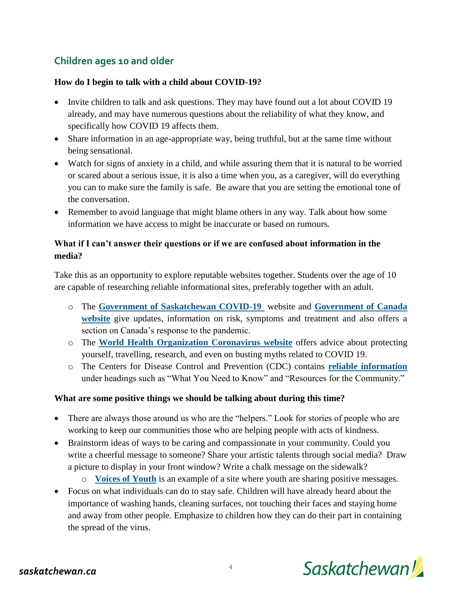# **Children ages 10 and older**

#### **How do I begin to talk with a child about COVID-19?**

- Invite children to talk and ask questions. They may have found out a lot about COVID 19 already, and may have numerous questions about the reliability of what they know, and specifically how COVID 19 affects them.
- Share information in an age-appropriate way, being truthful, but at the same time without being sensational.
- Watch for signs of anxiety in a child, and while assuring them that it is natural to be worried or scared about a serious issue, it is also a time when you, as a caregiver, will do everything you can to make sure the family is safe. Be aware that you are setting the emotional tone of the conversation.
- Remember to avoid language that might blame others in any way. Talk about how some information we have access to might be inaccurate or based on rumours.

## **What if I can't answer their questions or if we are confused about information in the media?**

Take this as an opportunity to explore reputable websites together. Students over the age of 10 are capable of researching reliable informational sites, preferably together with an adult.

- o The **[Government of Saskatchewan COVID-19](https://www.saskatchewan.ca/government/health-care-administration-and-provider-resources/treatment-procedures-and-guidelines/emerging-public-health-issues/2019-novel-coronavirus/about-covid-19)** website and **[Government of Canada](https://www.canada.ca/en/public-health/services/diseases/coronavirus-disease-covid-19.html)  [website](https://www.canada.ca/en/public-health/services/diseases/coronavirus-disease-covid-19.html)** give updates, information on risk, symptoms and treatment and also offers a section on Canada's response to the pandemic.
- o The **[World Health Organization Coronavirus website](https://www.who.int/emergencies/diseases/novel-coronavirus-2019/)** offers advice about protecting yourself, travelling, research, and even on busting myths related to COVID 19.
- o The Centers for Disease Control and Prevention (CDC) contains **[reliable information](https://www.cdc.gov/coronavirus/2019-ncov/index.html)** under headings such as "What You Need to Know" and "Resources for the Community."

#### **What are some positive things we should be talking about during this time?**

- There are always those around us who are the "helpers." Look for stories of people who are working to keep our communities those who are helping people with acts of kindness.
- Brainstorm ideas of ways to be caring and compassionate in your community. Could you write a cheerful message to someone? Share your artistic talents through social media? Draw a picture to display in your front window? Write a chalk message on the sidewalk?
	- o **[Voices of Youth](https://www.voicesofyouth.org/covid-19-your-voices-against-stigma-and-discrimination)** is an example of a site where youth are sharing positive messages.
- Focus on what individuals can do to stay safe. Children will have already heard about the importance of washing hands, cleaning surfaces, not touching their faces and staying home and away from other people. Emphasize to children how they can do their part in containing the spread of the virus.

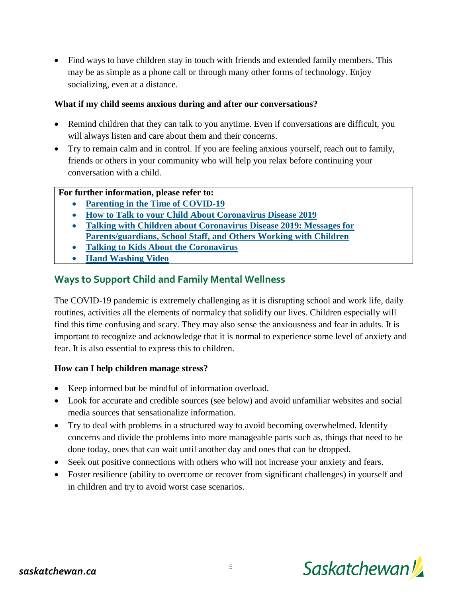• Find ways to have children stay in touch with friends and extended family members. This may be as simple as a phone call or through many other forms of technology. Enjoy socializing, even at a distance.

#### **What if my child seems anxious during and after our conversations?**

- Remind children that they can talk to you anytime. Even if conversations are difficult, you will always listen and care about them and their concerns.
- Try to remain calm and in control. If you are feeling anxious yourself, reach out to family, friends or others in your community who will help you relax before continuing your conversation with a child.

#### **For further information, please refer to:**

- **[Parenting in the Time of COVID-19](https://www.who.int/emergencies/diseases/novel-coronavirus-2019/advice-for-public/healthy-parenting)**
- **[How to Talk to your Child About Coronavirus Disease 2019](https://www.unicef.org/coronavirus/how-talk-your-child-about-coronavirus-covid-19)**
- **[Talking with Children about Coronavirus Disease 2019: Messages for](https://www.cdc.gov/coronavirus/2019-ncov/community/schools-childcare/talking-with-children.html)  [Parents/guardians, School Staff, and Others Working with Children](https://www.cdc.gov/coronavirus/2019-ncov/community/schools-childcare/talking-with-children.html)**
- **[Talking to Kids About the Coronavirus](https://childmind.org/article/talking-to-kids-about-the-coronavirus/)**
- **[Hand Washing Video](https://www.flixxy.com/how-soap-kills-viruses.htm)**

## **Ways to Support Child and Family Mental Wellness**

The COVID-19 pandemic is extremely challenging as it is disrupting school and work life, daily routines, activities all the elements of normalcy that solidify our lives. Children especially will find this time confusing and scary. They may also sense the anxiousness and fear in adults. It is important to recognize and acknowledge that it is normal to experience some level of anxiety and fear. It is also essential to express this to children.

#### **How can I help children manage stress?**

- Keep informed but be mindful of information overload.
- Look for accurate and credible sources (see below) and avoid unfamiliar websites and social media sources that sensationalize information.
- Try to deal with problems in a structured way to avoid becoming overwhelmed. Identify concerns and divide the problems into more manageable parts such as, things that need to be done today, ones that can wait until another day and ones that can be dropped.
- Seek out positive connections with others who will not increase your anxiety and fears.
- Foster resilience (ability to overcome or recover from significant challenges) in yourself and in children and try to avoid worst case scenarios.

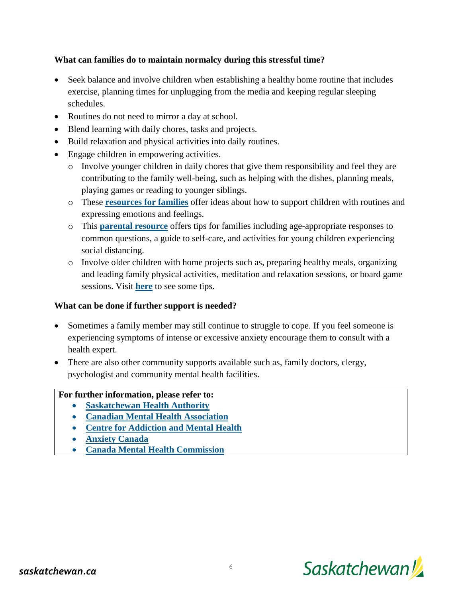## **What can families do to maintain normalcy during this stressful time?**

- Seek balance and involve children when establishing a healthy home routine that includes exercise, planning times for unplugging from the media and keeping regular sleeping schedules.
- Routines do not need to mirror a day at school.
- Blend learning with daily chores, tasks and projects.
- Build relaxation and physical activities into daily routines.
- Engage children in empowering activities.
	- o Involve younger children in daily chores that give them responsibility and feel they are contributing to the family well-being, such as helping with the dishes, planning meals, playing games or reading to younger siblings.
	- o These **[resources for families](http://csefel.vanderbilt.edu/resources/family.html)** offer ideas about how to support children with routines and expressing emotions and feelings.
	- o This **[parental resource](https://www.zerotothree.org/resources/3210-tips-for-families-coronavirus.)** offers tips for families including age-appropriate responses to common questions, a guide to self-care, and activities for young children experiencing social distancing.
	- $\circ$  Involve older children with home projects such as, preparing healthy meals, organizing and leading family physical activities, meditation and relaxation sessions, or board game sessions. Visit **[here](https://www.unicef.org/media/66146/file/COVID-19%20parenting%20tips.pdf)** to see some tips.

#### **What can be done if further support is needed?**

- Sometimes a family member may still continue to struggle to cope. If you feel someone is experiencing symptoms of intense or excessive anxiety encourage them to consult with a health expert.
- There are also other community supports available such as, family doctors, clergy, psychologist and community mental health facilities.

#### **For further information, please refer to:**

- **[Saskatchewan Health Authority](https://www.saskhealthauthority.ca/)**
- **[Canadian Mental Health Association](https://cmha.ca/news/covid-19-and-mental-health)**
- **[Centre for Addiction and Mental Health](https://www.camh.ca/en/health-info/mental-health-and-covid-19#coping,)**
- **[Anxiety Canada](https://www.anxietycanada.com/resources/educator-resources/,%20My%20Anxiety%20Plans)**
- **[Canada Mental Health Commission](https://www.mentalhealthcommission.ca/English/news-article/13920/choosing-sources-information-carefully-critical-covid-19-mental-well-being-says)**

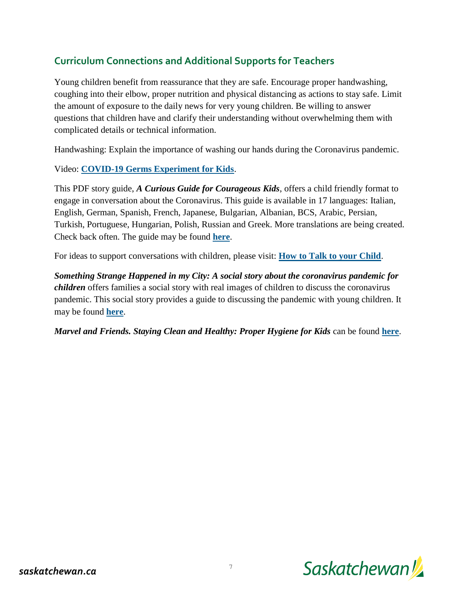# **Curriculum Connections and Additional Supports for Teachers**

Young children benefit from reassurance that they are safe. Encourage proper handwashing, coughing into their elbow, proper nutrition and physical distancing as actions to stay safe. Limit the amount of exposure to the daily news for very young children. Be willing to answer questions that children have and clarify their understanding without overwhelming them with complicated details or technical information.

Handwashing: Explain the importance of washing our hands during the Coronavirus pandemic.

## Video: **[COVID-19 Germs Experiment for Kids](https://www.youtube.com/watch?v=_KirHm_sYfI)**.

This PDF story guide, *A Curious Guide for Courageous Kids*, offers a child friendly format to engage in conversation about the Coronavirus. This guide is available in 17 languages: Italian, English, German, Spanish, French, Japanese, Bulgarian, Albanian, BCS, Arabic, Persian, Turkish, Portuguese, Hungarian, Polish, Russian and Greek. More translations are being created. Check back often. The guide may be found **[here](https://www.hands-on-international.net/free-covid-19-guide-for-children/)**.

For ideas to support conversations with children, please visit: **[How to Talk to your Child](https://kidshealth.org/en/parents/coronavirus-how-talk-child.html)**.

*Something Strange Happened in my City: A social story about the coronavirus pandemic for children* offers families a social story with real images of children to discuss the coronavirus pandemic. This social story provides a guide to discussing the pandemic with young children. It may be found **[here](https://fdafdaa5-78a3-4b52-a60c-bbc1ed5e8667.filesusr.com/ugd/d4e6d3_e6d1e88990374bd59c9de2b3b273e47f.pdf?index=true)**.

*Marvel and Friends. Staying Clean and Healthy: Proper Hygiene for Kids* can be found **[here](https://rover.edonline.sk.ca/en/rover/videos?utf8=%E2%9C%93&video%5Bm%5D=and&q%5Btitle_or_description_or_entry_or_series_name_or_series_description_cont%5D=germs.)**.

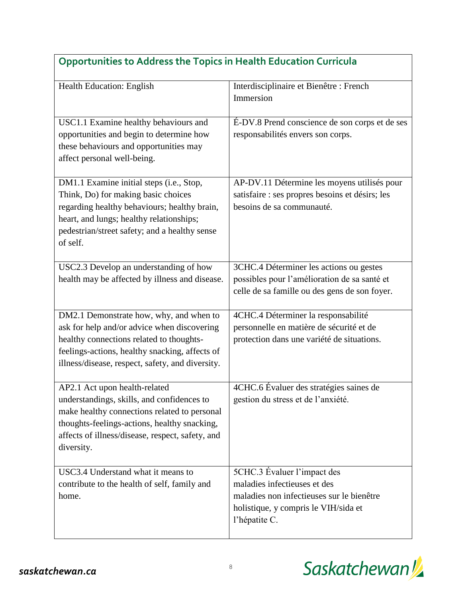| Opportunities to Address the Topics in Health Education Conficula                                                                                                                                                                             |                                                                                                                                                                   |  |
|-----------------------------------------------------------------------------------------------------------------------------------------------------------------------------------------------------------------------------------------------|-------------------------------------------------------------------------------------------------------------------------------------------------------------------|--|
| Health Education: English                                                                                                                                                                                                                     | Interdisciplinaire et Bienêtre : French<br>Immersion                                                                                                              |  |
| USC1.1 Examine healthy behaviours and<br>opportunities and begin to determine how<br>these behaviours and opportunities may<br>affect personal well-being.                                                                                    | É-DV.8 Prend conscience de son corps et de ses<br>responsabilités envers son corps.                                                                               |  |
| DM1.1 Examine initial steps (i.e., Stop,<br>Think, Do) for making basic choices<br>regarding healthy behaviours; healthy brain,<br>heart, and lungs; healthy relationships;<br>pedestrian/street safety; and a healthy sense<br>of self.      | AP-DV.11 Détermine les moyens utilisés pour<br>satisfaire : ses propres besoins et désirs; les<br>besoins de sa communauté.                                       |  |
| USC2.3 Develop an understanding of how<br>health may be affected by illness and disease.                                                                                                                                                      | 3CHC.4 Déterminer les actions ou gestes<br>possibles pour l'amélioration de sa santé et<br>celle de sa famille ou des gens de son foyer.                          |  |
| DM2.1 Demonstrate how, why, and when to<br>ask for help and/or advice when discovering<br>healthy connections related to thoughts-<br>feelings-actions, healthy snacking, affects of<br>illness/disease, respect, safety, and diversity.      | 4CHC.4 Déterminer la responsabilité<br>personnelle en matière de sécurité et de<br>protection dans une variété de situations.                                     |  |
| AP2.1 Act upon health-related<br>understandings, skills, and confidences to<br>make healthy connections related to personal<br>thoughts-feelings-actions, healthy snacking,<br>affects of illness/disease, respect, safety, and<br>diversity. | 4CHC.6 Évaluer des stratégies saines de<br>gestion du stress et de l'anxiété.                                                                                     |  |
| USC3.4 Understand what it means to<br>contribute to the health of self, family and<br>home.                                                                                                                                                   | 5CHC.3 Evaluer l'impact des<br>maladies infectieuses et des<br>maladies non infectieuses sur le bienêtre<br>holistique, y compris le VIH/sida et<br>l'hépatite C. |  |

# **Opportunities to Address the Topics in Health Education Curricula**

ヿ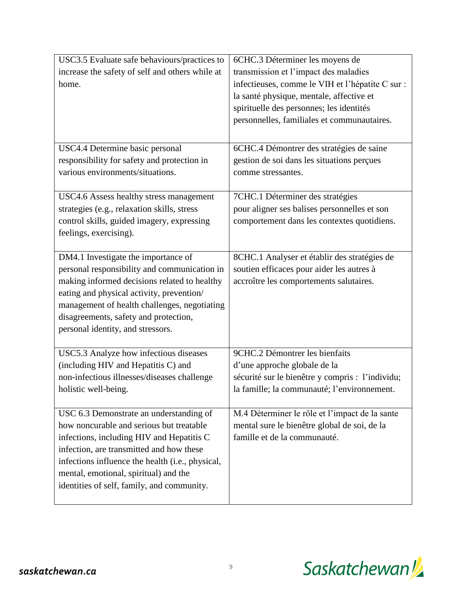| USC3.5 Evaluate safe behaviours/practices to     | 6CHC.3 Déterminer les moyens de                  |
|--------------------------------------------------|--------------------------------------------------|
| increase the safety of self and others while at  | transmission et l'impact des maladies            |
| home.                                            | infectieuses, comme le VIH et l'hépatite C sur : |
|                                                  | la santé physique, mentale, affective et         |
|                                                  | spirituelle des personnes; les identités         |
|                                                  | personnelles, familiales et communautaires.      |
|                                                  |                                                  |
| USC4.4 Determine basic personal                  | 6CHC.4 Démontrer des stratégies de saine         |
| responsibility for safety and protection in      | gestion de soi dans les situations perçues       |
| various environments/situations.                 | comme stressantes.                               |
|                                                  |                                                  |
| USC4.6 Assess healthy stress management          | 7CHC.1 Déterminer des stratégies                 |
| strategies (e.g., relaxation skills, stress      | pour aligner ses balises personnelles et son     |
| control skills, guided imagery, expressing       | comportement dans les contextes quotidiens.      |
| feelings, exercising).                           |                                                  |
|                                                  |                                                  |
| DM4.1 Investigate the importance of              | 8CHC.1 Analyser et établir des stratégies de     |
| personal responsibility and communication in     | soutien efficaces pour aider les autres à        |
| making informed decisions related to healthy     | accroître les comportements salutaires.          |
| eating and physical activity, prevention/        |                                                  |
| management of health challenges, negotiating     |                                                  |
| disagreements, safety and protection,            |                                                  |
| personal identity, and stressors.                |                                                  |
| USC5.3 Analyze how infectious diseases           | 9CHC.2 Démontrer les bienfaits                   |
| (including HIV and Hepatitis C) and              | d'une approche globale de la                     |
| non-infectious illnesses/diseases challenge      | sécurité sur le bienêtre y compris : l'individu; |
| holistic well-being.                             | la famille; la communauté; l'environnement.      |
|                                                  |                                                  |
| USC 6.3 Demonstrate an understanding of          | M.4 Déterminer le rôle et l'impact de la sante   |
| how noncurable and serious but treatable         | mental sure le bienêtre global de soi, de la     |
| infections, including HIV and Hepatitis C        | famille et de la communauté.                     |
| infection, are transmitted and how these         |                                                  |
| infections influence the health (i.e., physical, |                                                  |
| mental, emotional, spiritual) and the            |                                                  |
| identities of self, family, and community.       |                                                  |
|                                                  |                                                  |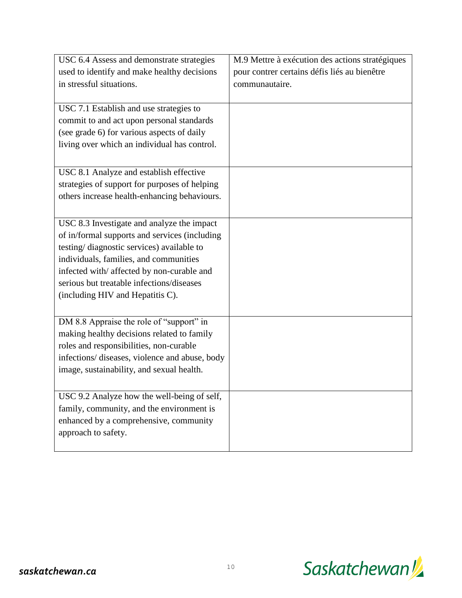| USC 6.4 Assess and demonstrate strategies      | M.9 Mettre à exécution des actions stratégiques |
|------------------------------------------------|-------------------------------------------------|
| used to identify and make healthy decisions    | pour contrer certains défis liés au bienêtre    |
| in stressful situations.                       | communautaire.                                  |
|                                                |                                                 |
| USC 7.1 Establish and use strategies to        |                                                 |
| commit to and act upon personal standards      |                                                 |
| (see grade 6) for various aspects of daily     |                                                 |
| living over which an individual has control.   |                                                 |
|                                                |                                                 |
| USC 8.1 Analyze and establish effective        |                                                 |
| strategies of support for purposes of helping  |                                                 |
| others increase health-enhancing behaviours.   |                                                 |
|                                                |                                                 |
| USC 8.3 Investigate and analyze the impact     |                                                 |
| of in/formal supports and services (including  |                                                 |
| testing/diagnostic services) available to      |                                                 |
| individuals, families, and communities         |                                                 |
| infected with/ affected by non-curable and     |                                                 |
| serious but treatable infections/diseases      |                                                 |
| (including HIV and Hepatitis C).               |                                                 |
|                                                |                                                 |
| DM 8.8 Appraise the role of "support" in       |                                                 |
| making healthy decisions related to family     |                                                 |
| roles and responsibilities, non-curable        |                                                 |
| infections/ diseases, violence and abuse, body |                                                 |
| image, sustainability, and sexual health.      |                                                 |
|                                                |                                                 |
| USC 9.2 Analyze how the well-being of self,    |                                                 |
| family, community, and the environment is      |                                                 |
| enhanced by a comprehensive, community         |                                                 |
| approach to safety.                            |                                                 |
|                                                |                                                 |

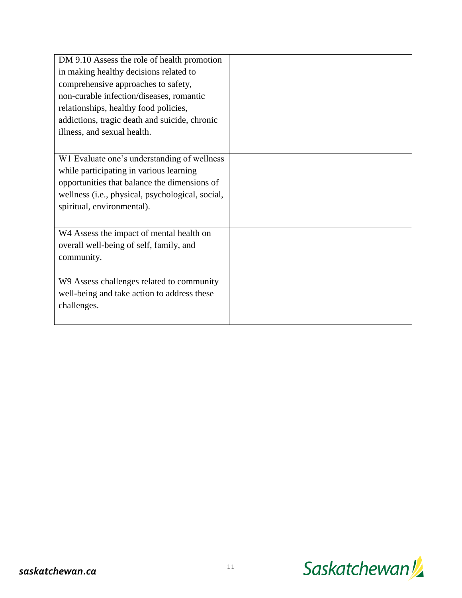| DM 9.10 Assess the role of health promotion      |  |
|--------------------------------------------------|--|
| in making healthy decisions related to           |  |
| comprehensive approaches to safety,              |  |
| non-curable infection/diseases, romantic         |  |
| relationships, healthy food policies,            |  |
| addictions, tragic death and suicide, chronic    |  |
| illness, and sexual health.                      |  |
|                                                  |  |
| W1 Evaluate one's understanding of wellness      |  |
| while participating in various learning          |  |
| opportunities that balance the dimensions of     |  |
| wellness (i.e., physical, psychological, social, |  |
| spiritual, environmental).                       |  |
|                                                  |  |
| W4 Assess the impact of mental health on         |  |
| overall well-being of self, family, and          |  |
| community.                                       |  |
|                                                  |  |
| W9 Assess challenges related to community        |  |
| well-being and take action to address these      |  |
| challenges.                                      |  |
|                                                  |  |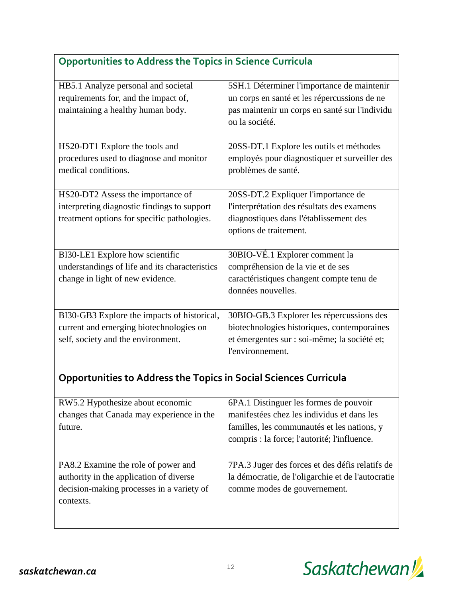| Opportunities to Address the Topics in Science Curricula                               |                                                                                             |  |
|----------------------------------------------------------------------------------------|---------------------------------------------------------------------------------------------|--|
| HB5.1 Analyze personal and societal                                                    | 5SH.1 Déterminer l'importance de maintenir                                                  |  |
| requirements for, and the impact of,                                                   | un corps en santé et les répercussions de ne                                                |  |
| maintaining a healthy human body.                                                      | pas maintenir un corps en santé sur l'individu                                              |  |
|                                                                                        | ou la société.                                                                              |  |
|                                                                                        |                                                                                             |  |
| HS20-DT1 Explore the tools and                                                         | 20SS-DT.1 Explore les outils et méthodes                                                    |  |
| procedures used to diagnose and monitor                                                | employés pour diagnostiquer et surveiller des                                               |  |
| medical conditions.                                                                    | problèmes de santé.                                                                         |  |
|                                                                                        |                                                                                             |  |
| HS20-DT2 Assess the importance of                                                      | 20SS-DT.2 Expliquer l'importance de                                                         |  |
| interpreting diagnostic findings to support                                            | l'interprétation des résultats des examens                                                  |  |
| treatment options for specific pathologies.                                            | diagnostiques dans l'établissement des                                                      |  |
|                                                                                        | options de traitement.                                                                      |  |
|                                                                                        |                                                                                             |  |
| BI30-LE1 Explore how scientific                                                        | 30BIO-VÉ.1 Explorer comment la                                                              |  |
| understandings of life and its characteristics                                         | compréhension de la vie et de ses                                                           |  |
| change in light of new evidence.                                                       | caractéristiques changent compte tenu de                                                    |  |
|                                                                                        | données nouvelles.                                                                          |  |
|                                                                                        |                                                                                             |  |
| BI30-GB3 Explore the impacts of historical,<br>current and emerging biotechnologies on | 30BIO-GB.3 Explorer les répercussions des<br>biotechnologies historiques, contemporaines    |  |
| self, society and the environment.                                                     | et émergentes sur : soi-même; la société et;                                                |  |
|                                                                                        | l'environnement.                                                                            |  |
|                                                                                        |                                                                                             |  |
| <b>Opportunities to Address the Topics in Social Sciences Curricula</b>                |                                                                                             |  |
|                                                                                        |                                                                                             |  |
| RW5.2 Hypothesize about economic                                                       | 6PA.1 Distinguer les formes de pouvoir<br>manifestées chez les individus et dans les        |  |
| changes that Canada may experience in the<br>future.                                   |                                                                                             |  |
|                                                                                        | familles, les communautés et les nations, y<br>compris : la force; l'autorité; l'influence. |  |
|                                                                                        |                                                                                             |  |
| PA8.2 Examine the role of power and                                                    | 7PA.3 Juger des forces et des défis relatifs de                                             |  |
| authority in the application of diverse                                                | la démocratie, de l'oligarchie et de l'autocratie                                           |  |
| decision-making processes in a variety of                                              | comme modes de gouvernement.                                                                |  |
| contexts.                                                                              |                                                                                             |  |
|                                                                                        |                                                                                             |  |
|                                                                                        |                                                                                             |  |

# **Opportunities to Address the Topics in Science Curricula**